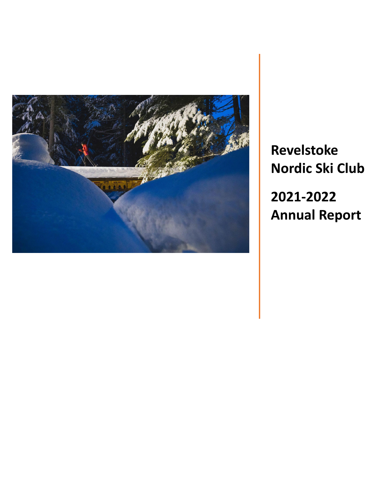

**Revelstoke Nordic Ski Club 2021-2022 Annual Report**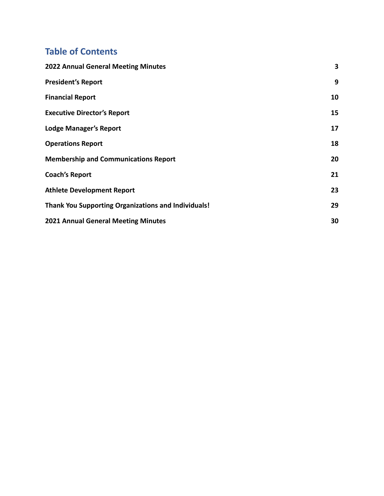# **Table of Contents**

| <b>2022 Annual General Meeting Minutes</b>                 | 3  |
|------------------------------------------------------------|----|
| <b>President's Report</b>                                  | 9  |
| <b>Financial Report</b>                                    | 10 |
| <b>Executive Director's Report</b>                         | 15 |
| <b>Lodge Manager's Report</b>                              | 17 |
| <b>Operations Report</b>                                   | 18 |
| <b>Membership and Communications Report</b>                | 20 |
| <b>Coach's Report</b>                                      | 21 |
| <b>Athlete Development Report</b>                          | 23 |
| <b>Thank You Supporting Organizations and Individuals!</b> | 29 |
| 2021 Annual General Meeting Minutes                        | 30 |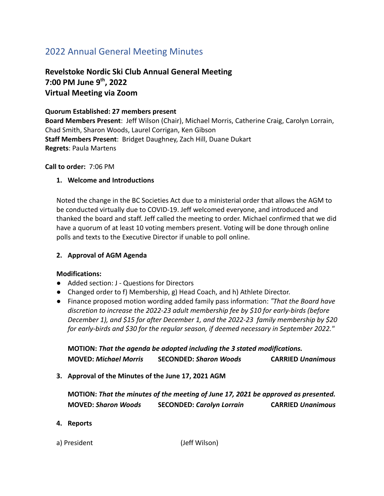# <span id="page-2-0"></span>2022 Annual General Meeting Minutes

# **Revelstoke Nordic Ski Club Annual General Meeting 7:00 PM June 9 th , 2022 Virtual Meeting via Zoom**

# **Quorum Established: 27 members present**

**Board Members Present**: Jeff Wilson (Chair), Michael Morris, Catherine Craig, Carolyn Lorrain, Chad Smith, Sharon Woods, Laurel Corrigan, Ken Gibson **Staff Members Present**: Bridget Daughney, Zach Hill, Duane Dukart **Regrets**: Paula Martens

#### **Call to order:** 7:06 PM

## **1. Welcome and Introductions**

Noted the change in the BC Societies Act due to a ministerial order that allows the AGM to be conducted virtually due to COVID-19. Jeff welcomed everyone, and introduced and thanked the board and staff. Jeff called the meeting to order. Michael confirmed that we did have a quorum of at least 10 voting members present. Voting will be done through online polls and texts to the Executive Director if unable to poll online.

#### **2. Approval of AGM Agenda**

#### **Modifications:**

- Added section: J Questions for Directors
- Changed order to f) Membership, g) Head Coach, and h) Athlete Director.
- Finance proposed motion wording added family pass information: *"That the Board have discretion to increase the 2022-23 adult membership fee by \$10 for early-birds (before December 1), and \$15 for after December 1, and the 2022-23 family membership by \$20 for early-birds and \$30 for the regular season, if deemed necessary in September 2022."*

**MOTION:** *That the agenda be adopted including the 3 stated modifications.* **MOVED:** *Michael Morris* **SECONDED:** *Sharon Woods* **CARRIED** *Unanimous*

**3. Approval of the Minutes of the June 17, 2021 AGM**

**MOTION:** *That the minutes of the meeting of June 17, 2021 be approved as presented.* **MOVED:** *Sharon Woods* **SECONDED:** *Carolyn Lorrain* **CARRIED** *Unanimous*

#### **4. Reports**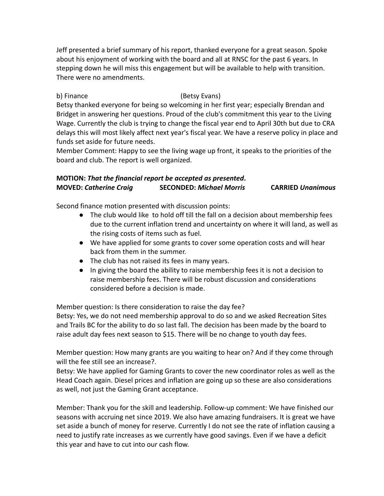Jeff presented a brief summary of his report, thanked everyone for a great season. Spoke about his enjoyment of working with the board and all at RNSC for the past 6 years. In stepping down he will miss this engagement but will be available to help with transition. There were no amendments.

## b) Finance (Betsy Evans)

Betsy thanked everyone for being so welcoming in her first year; especially Brendan and Bridget in answering her questions. Proud of the club's commitment this year to the Living Wage. Currently the club is trying to change the fiscal year end to April 30th but due to CRA delays this will most likely affect next year's fiscal year. We have a reserve policy in place and funds set aside for future needs.

Member Comment: Happy to see the living wage up front, it speaks to the priorities of the board and club. The report is well organized.

## **MOTION:** *That the financial report be accepted as presented***. MOVED:** *Catherine Craig* **SECONDED:** *Michael Morris* **CARRIED** *Unanimous*

Second finance motion presented with discussion points:

- The club would like to hold off till the fall on a decision about membership fees due to the current inflation trend and uncertainty on where it will land, as well as the rising costs of items such as fuel.
- We have applied for some grants to cover some operation costs and will hear back from them in the summer.
- The club has not raised its fees in many years.
- In giving the board the ability to raise membership fees it is not a decision to raise membership fees. There will be robust discussion and considerations considered before a decision is made.

Member question: Is there consideration to raise the day fee?

Betsy: Yes, we do not need membership approval to do so and we asked Recreation Sites and Trails BC for the ability to do so last fall. The decision has been made by the board to raise adult day fees next season to \$15. There will be no change to youth day fees.

Member question: How many grants are you waiting to hear on? And if they come through will the fee still see an increase?.

Betsy: We have applied for Gaming Grants to cover the new coordinator roles as well as the Head Coach again. Diesel prices and inflation are going up so these are also considerations as well, not just the Gaming Grant acceptance.

Member: Thank you for the skill and leadership. Follow-up comment: We have finished our seasons with accruing net since 2019. We also have amazing fundraisers. It is great we have set aside a bunch of money for reserve. Currently I do not see the rate of inflation causing a need to justify rate increases as we currently have good savings. Even if we have a deficit this year and have to cut into our cash flow.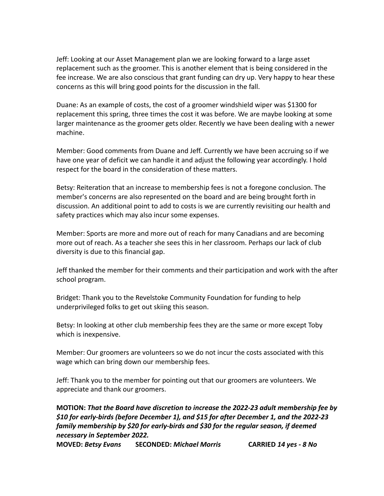Jeff: Looking at our Asset Management plan we are looking forward to a large asset replacement such as the groomer. This is another element that is being considered in the fee increase. We are also conscious that grant funding can dry up. Very happy to hear these concerns as this will bring good points for the discussion in the fall.

Duane: As an example of costs, the cost of a groomer windshield wiper was \$1300 for replacement this spring, three times the cost it was before. We are maybe looking at some larger maintenance as the groomer gets older. Recently we have been dealing with a newer machine.

Member: Good comments from Duane and Jeff. Currently we have been accruing so if we have one year of deficit we can handle it and adjust the following year accordingly. I hold respect for the board in the consideration of these matters.

Betsy: Reiteration that an increase to membership fees is not a foregone conclusion. The member's concerns are also represented on the board and are being brought forth in discussion. An additional point to add to costs is we are currently revisiting our health and safety practices which may also incur some expenses.

Member: Sports are more and more out of reach for many Canadians and are becoming more out of reach. As a teacher she sees this in her classroom. Perhaps our lack of club diversity is due to this financial gap.

Jeff thanked the member for their comments and their participation and work with the after school program.

Bridget: Thank you to the Revelstoke Community Foundation for funding to help underprivileged folks to get out skiing this season.

Betsy: In looking at other club membership fees they are the same or more except Toby which is inexpensive.

Member: Our groomers are volunteers so we do not incur the costs associated with this wage which can bring down our membership fees.

Jeff: Thank you to the member for pointing out that our groomers are volunteers. We appreciate and thank our groomers.

## **MOTION:** *That the Board have discretion to increase the 2022-23 adult membership fee by \$10 for early-birds (before December 1), and \$15 for after December 1, and the 2022-23 family membership by \$20 for early-birds and \$30 for the regular season, if deemed necessary in September 2022.*

**MOVED:** *Betsy Evans* **SECONDED:** *Michael Morris* **CARRIED** *14 yes - 8 No*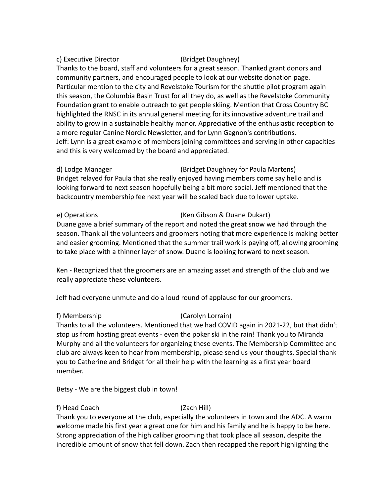#### c) Executive Director (Bridget Daughney)

Thanks to the board, staff and volunteers for a great season. Thanked grant donors and community partners, and encouraged people to look at our website donation page. Particular mention to the city and Revelstoke Tourism for the shuttle pilot program again this season, the Columbia Basin Trust for all they do, as well as the Revelstoke Community Foundation grant to enable outreach to get people skiing. Mention that Cross Country BC highlighted the RNSC in its annual general meeting for its innovative adventure trail and ability to grow in a sustainable healthy manor. Appreciative of the enthusiastic reception to a more regular Canine Nordic Newsletter, and for Lynn Gagnon's contributions. Jeff: Lynn is a great example of members joining committees and serving in other capacities and this is very welcomed by the board and appreciated.

## d) Lodge Manager (Bridget Daughney for Paula Martens) Bridget relayed for Paula that she really enjoyed having members come say hello and is looking forward to next season hopefully being a bit more social. Jeff mentioned that the backcountry membership fee next year will be scaled back due to lower uptake.

## e) Operations (Ken Gibson & Duane Dukart)

Duane gave a brief summary of the report and noted the great snow we had through the season. Thank all the volunteers and groomers noting that more experience is making better and easier grooming. Mentioned that the summer trail work is paying off, allowing grooming to take place with a thinner layer of snow. Duane is looking forward to next season.

Ken - Recognized that the groomers are an amazing asset and strength of the club and we really appreciate these volunteers.

Jeff had everyone unmute and do a loud round of applause for our groomers.

#### f) Membership (Carolyn Lorrain)

Thanks to all the volunteers. Mentioned that we had COVID again in 2021-22, but that didn't stop us from hosting great events - even the poker ski in the rain! Thank you to Miranda Murphy and all the volunteers for organizing these events. The Membership Committee and club are always keen to hear from membership, please send us your thoughts. Special thank you to Catherine and Bridget for all their help with the learning as a first year board member.

Betsy - We are the biggest club in town!

## f) Head Coach (Zach Hill)

Thank you to everyone at the club, especially the volunteers in town and the ADC. A warm welcome made his first year a great one for him and his family and he is happy to be here. Strong appreciation of the high caliber grooming that took place all season, despite the incredible amount of snow that fell down. Zach then recapped the report highlighting the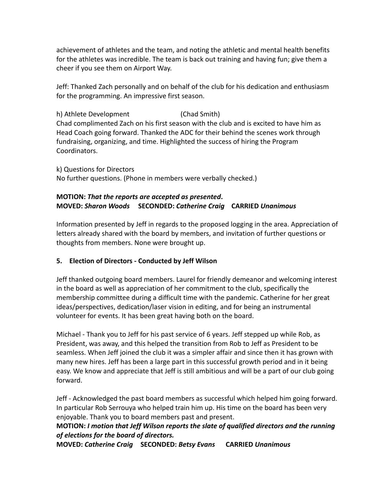achievement of athletes and the team, and noting the athletic and mental health benefits for the athletes was incredible. The team is back out training and having fun; give them a cheer if you see them on Airport Way.

Jeff: Thanked Zach personally and on behalf of the club for his dedication and enthusiasm for the programming. An impressive first season.

h) Athlete Development (Chad Smith) Chad complimented Zach on his first season with the club and is excited to have him as Head Coach going forward. Thanked the ADC for their behind the scenes work through fundraising, organizing, and time. Highlighted the success of hiring the Program Coordinators.

k) Questions for Directors No further questions. (Phone in members were verbally checked.)

## **MOTION:** *That the reports are accepted as presented***. MOVED:** *Sharon Woods* **SECONDED:** *Catherine Craig* **CARRIED** *Unanimous*

Information presented by Jeff in regards to the proposed logging in the area. Appreciation of letters already shared with the board by members, and invitation of further questions or thoughts from members. None were brought up.

## **5. Election of Directors - Conducted by Jeff Wilson**

Jeff thanked outgoing board members. Laurel for friendly demeanor and welcoming interest in the board as well as appreciation of her commitment to the club, specifically the membership committee during a difficult time with the pandemic. Catherine for her great ideas/perspectives, dedication/laser vision in editing, and for being an instrumental volunteer for events. It has been great having both on the board.

Michael - Thank you to Jeff for his past service of 6 years. Jeff stepped up while Rob, as President, was away, and this helped the transition from Rob to Jeff as President to be seamless. When Jeff joined the club it was a simpler affair and since then it has grown with many new hires. Jeff has been a large part in this successful growth period and in it being easy. We know and appreciate that Jeff is still ambitious and will be a part of our club going forward.

Jeff - Acknowledged the past board members as successful which helped him going forward. In particular Rob Serrouya who helped train him up. His time on the board has been very enjoyable. Thank you to board members past and present.

## **MOTION:** *I motion that Jeff Wilson reports the slate of qualified directors and the running of elections for the board of directors.*

**MOVED:** *Catherine Craig* **SECONDED:** *Betsy Evans* **CARRIED** *Unanimous*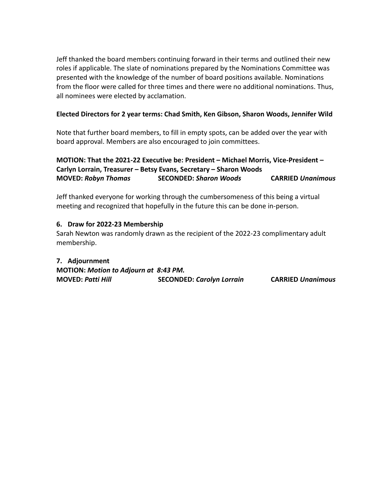Jeff thanked the board members continuing forward in their terms and outlined their new roles if applicable. The slate of nominations prepared by the Nominations Committee was presented with the knowledge of the number of board positions available. Nominations from the floor were called for three times and there were no additional nominations. Thus, all nominees were elected by acclamation.

## **Elected Directors for 2 year terms: Chad Smith, Ken Gibson, Sharon Woods, Jennifer Wild**

Note that further board members, to fill in empty spots, can be added over the year with board approval. Members are also encouraged to join committees.

**MOTION: That the 2021-22 Executive be: President – Michael Morris, Vice-President – Carlyn Lorrain, Treasurer – Betsy Evans, Secretary – Sharon Woods MOVED:** *Robyn Thomas* **SECONDED:** *Sharon Woods* **CARRIED** *Unanimous*

Jeff thanked everyone for working through the cumbersomeness of this being a virtual meeting and recognized that hopefully in the future this can be done in-person.

## **6. Draw for 2022-23 Membership**

Sarah Newton was randomly drawn as the recipient of the 2022-23 complimentary adult membership.

**7. Adjournment MOTION:** *Motion to Adjourn at 8:43 PM.* **MOVED:** *Patti Hill* **SECONDED:** *Carolyn Lorrain* **CARRIED** *Unanimous*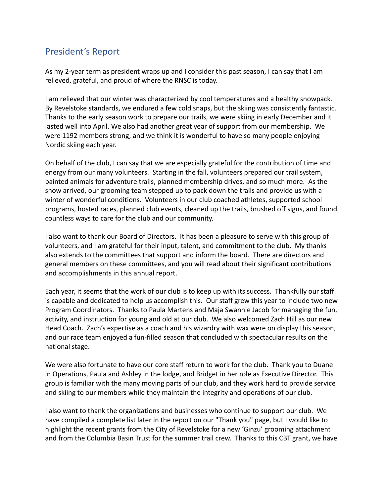# <span id="page-8-0"></span>President's Report

As my 2-year term as president wraps up and I consider this past season, I can say that I am relieved, grateful, and proud of where the RNSC is today.

I am relieved that our winter was characterized by cool temperatures and a healthy snowpack. By Revelstoke standards, we endured a few cold snaps, but the skiing was consistently fantastic. Thanks to the early season work to prepare our trails, we were skiing in early December and it lasted well into April. We also had another great year of support from our membership. We were 1192 members strong, and we think it is wonderful to have so many people enjoying Nordic skiing each year.

On behalf of the club, I can say that we are especially grateful for the contribution of time and energy from our many volunteers. Starting in the fall, volunteers prepared our trail system, painted animals for adventure trails, planned membership drives, and so much more. As the snow arrived, our grooming team stepped up to pack down the trails and provide us with a winter of wonderful conditions. Volunteers in our club coached athletes, supported school programs, hosted races, planned club events, cleaned up the trails, brushed off signs, and found countless ways to care for the club and our community.

I also want to thank our Board of Directors. It has been a pleasure to serve with this group of volunteers, and I am grateful for their input, talent, and commitment to the club. My thanks also extends to the committees that support and inform the board. There are directors and general members on these committees, and you will read about their significant contributions and accomplishments in this annual report.

Each year, it seems that the work of our club is to keep up with its success. Thankfully our staff is capable and dedicated to help us accomplish this. Our staff grew this year to include two new Program Coordinators. Thanks to Paula Martens and Maja Swannie Jacob for managing the fun, activity, and instruction for young and old at our club. We also welcomed Zach Hill as our new Head Coach. Zach's expertise as a coach and his wizardry with wax were on display this season, and our race team enjoyed a fun-filled season that concluded with spectacular results on the national stage.

We were also fortunate to have our core staff return to work for the club. Thank you to Duane in Operations, Paula and Ashley in the lodge, and Bridget in her role as Executive Director. This group is familiar with the many moving parts of our club, and they work hard to provide service and skiing to our members while they maintain the integrity and operations of our club.

I also want to thank the organizations and businesses who continue to support our club. We have compiled a complete list later in the report on our "Thank you" page, but I would like to highlight the recent grants from the City of Revelstoke for a new 'Ginzu' grooming attachment and from the Columbia Basin Trust for the summer trail crew. Thanks to this CBT grant, we have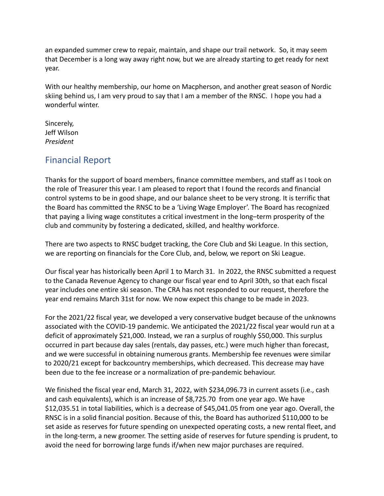an expanded summer crew to repair, maintain, and shape our trail network. So, it may seem that December is a long way away right now, but we are already starting to get ready for next year.

With our healthy membership, our home on Macpherson, and another great season of Nordic skiing behind us, I am very proud to say that I am a member of the RNSC. I hope you had a wonderful winter.

Sincerely, Jeff Wilson *President*

# <span id="page-9-0"></span>Financial Report

Thanks for the support of board members, finance committee members, and staff as I took on the role of Treasurer this year. I am pleased to report that I found the records and financial control systems to be in good shape, and our balance sheet to be very strong. It is terrific that the Board has committed the RNSC to be a 'Living Wage Employer'. The Board has recognized that paying a living wage constitutes a critical investment in the long–term prosperity of the club and community by fostering a dedicated, skilled, and healthy workforce.

There are two aspects to RNSC budget tracking, the Core Club and Ski League. In this section, we are reporting on financials for the Core Club, and, below, we report on Ski League.

Our fiscal year has historically been April 1 to March 31. In 2022, the RNSC submitted a request to the Canada Revenue Agency to change our fiscal year end to April 30th, so that each fiscal year includes one entire ski season. The CRA has not responded to our request, therefore the year end remains March 31st for now. We now expect this change to be made in 2023.

For the 2021/22 fiscal year, we developed a very conservative budget because of the unknowns associated with the COVID-19 pandemic. We anticipated the 2021/22 fiscal year would run at a deficit of approximately \$21,000. Instead, we ran a surplus of roughly \$50,000. This surplus occurred in part because day sales (rentals, day passes, etc.) were much higher than forecast, and we were successful in obtaining numerous grants. Membership fee revenues were similar to 2020/21 except for backcountry memberships, which decreased. This decrease may have been due to the fee increase or a normalization of pre-pandemic behaviour.

We finished the fiscal year end, March 31, 2022, with \$234,096.73 in current assets (i.e., cash and cash equivalents), which is an increase of \$8,725.70 from one year ago. We have \$12,035.51 in total liabilities, which is a decrease of \$45,041.05 from one year ago. Overall, the RNSC is in a solid financial position. Because of this, the Board has authorized \$110,000 to be set aside as reserves for future spending on unexpected operating costs, a new rental fleet, and in the long-term, a new groomer. The setting aside of reserves for future spending is prudent, to avoid the need for borrowing large funds if/when new major purchases are required.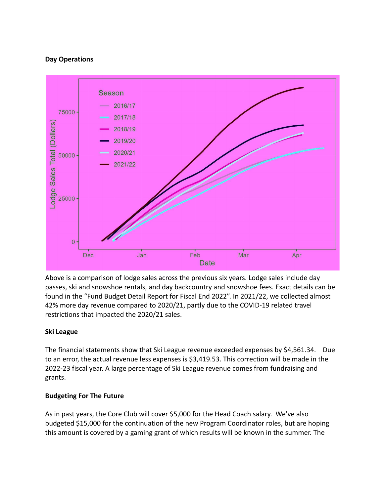### **Day Operations**



Above is a comparison of lodge sales across the previous six years. Lodge sales include day passes, ski and snowshoe rentals, and day backcountry and snowshoe fees. Exact details can be found in the "Fund Budget Detail Report for Fiscal End 2022". In 2021/22, we collected almost 42% more day revenue compared to 2020/21, partly due to the COVID-19 related travel restrictions that impacted the 2020/21 sales.

## **Ski League**

The financial statements show that Ski League revenue exceeded expenses by \$4,561.34. Due to an error, the actual revenue less expenses is \$3,419.53. This correction will be made in the 2022-23 fiscal year. A large percentage of Ski League revenue comes from fundraising and grants.

#### **Budgeting For The Future**

As in past years, the Core Club will cover \$5,000 for the Head Coach salary. We've also budgeted \$15,000 for the continuation of the new Program Coordinator roles, but are hoping this amount is covered by a gaming grant of which results will be known in the summer. The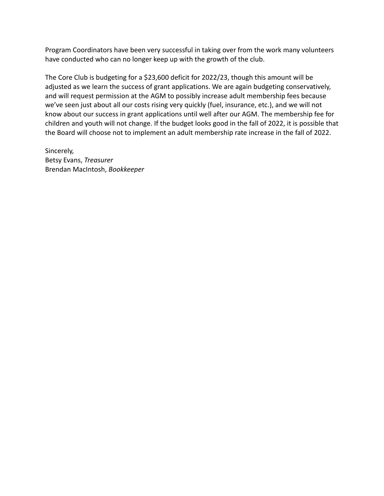Program Coordinators have been very successful in taking over from the work many volunteers have conducted who can no longer keep up with the growth of the club.

The Core Club is budgeting for a \$23,600 deficit for 2022/23, though this amount will be adjusted as we learn the success of grant applications. We are again budgeting conservatively, and will request permission at the AGM to possibly increase adult membership fees because we've seen just about all our costs rising very quickly (fuel, insurance, etc.), and we will not know about our success in grant applications until well after our AGM. The membership fee for children and youth will not change. If the budget looks good in the fall of 2022, it is possible that the Board will choose not to implement an adult membership rate increase in the fall of 2022.

Sincerely, Betsy Evans, *Treasurer* Brendan MacIntosh, *Bookkeeper*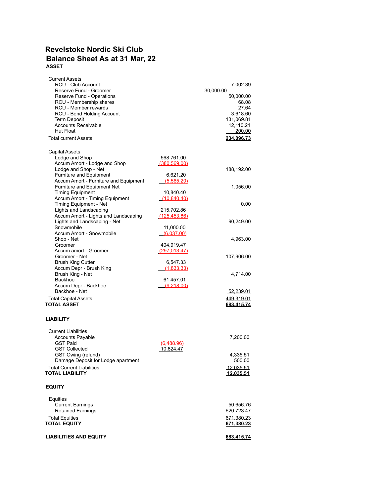## **Revelstoke Nordic Ski Club Balance Sheet As at 31 Mar, 22 ASSET**

| Current Assets<br>RCU - Club Account<br>Reserve Fund - Groomer<br>Reserve Fund - Operations<br>RCU - Membership shares<br>RCU - Member rewards<br>RCU - Bond Holding Account<br><b>Term Deposit</b><br><b>Accounts Receivable</b><br>Hut Float<br><b>Total current Assets</b> |                                        | 7,002.39<br>30,000.00<br>50,000.00<br>68.08<br>27.64<br>3,618.60<br>131,069.81<br>12,110.21<br>200.00<br>234,096.73 |
|-------------------------------------------------------------------------------------------------------------------------------------------------------------------------------------------------------------------------------------------------------------------------------|----------------------------------------|---------------------------------------------------------------------------------------------------------------------|
| <b>Capital Assets</b>                                                                                                                                                                                                                                                         |                                        |                                                                                                                     |
| Lodge and Shop<br>Accum Amort - Lodge and Shop<br>Lodge and Shop - Net<br>Furniture and Equipment                                                                                                                                                                             | 568,761.00<br>(380.569.00)<br>6,621.20 | 188,192.00                                                                                                          |
| Accum Amort - Furniture and Equipment                                                                                                                                                                                                                                         | (5.565.20)                             |                                                                                                                     |
| Furniture and Equipment Net<br><b>Timing Equipment</b>                                                                                                                                                                                                                        | 10,840.40                              | 1,056.00                                                                                                            |
| Accum Amort - Timing Equipment<br>Timing Equipment - Net<br>Lights and Landscaping                                                                                                                                                                                            | (10.840.40)<br>215,702.86              | 0.00                                                                                                                |
| Accum Amort - Lights and Landscaping<br>Lights and Landscaping - Net<br>Snowmobile                                                                                                                                                                                            | (125, 453, 86)<br>11,000.00            | 90,249.00                                                                                                           |
| Accum Amort - Snowmobile                                                                                                                                                                                                                                                      | (6,037.00)                             |                                                                                                                     |
| Shop - Net<br>Groomer                                                                                                                                                                                                                                                         | 404,919.47                             | 4,963.00                                                                                                            |
| Accum amort - Groomer                                                                                                                                                                                                                                                         | (297, 013.47)                          |                                                                                                                     |
| Groomer - Net<br><b>Brush King Cutter</b>                                                                                                                                                                                                                                     | 6,547.33                               | 107,906.00                                                                                                          |
| Accum Depr - Brush King                                                                                                                                                                                                                                                       | (1,833.33)                             |                                                                                                                     |
| Brush King - Net<br>Backhoe                                                                                                                                                                                                                                                   | 61,457.01                              | 4,714.00                                                                                                            |
| Accum Depr - Backhoe                                                                                                                                                                                                                                                          | (9.218.00)                             |                                                                                                                     |
| Backhoe - Net<br><b>Total Capital Assets</b>                                                                                                                                                                                                                                  |                                        | 52,239.01<br>449,319.01                                                                                             |
| <b>TOTAL ASSET</b>                                                                                                                                                                                                                                                            |                                        | 683.415.74                                                                                                          |
| <b>LIABILITY</b>                                                                                                                                                                                                                                                              |                                        |                                                                                                                     |
| <b>Current Liabilities</b><br><b>Accounts Payable</b><br><b>GST Paid</b>                                                                                                                                                                                                      |                                        | 7,200.00                                                                                                            |
| <b>GST Collected</b>                                                                                                                                                                                                                                                          | (6,488.96)<br>10.824.47                |                                                                                                                     |
| GST Owing (refund)<br>Damage Deposit for Lodge apartment                                                                                                                                                                                                                      |                                        | 4,335.51                                                                                                            |
| <b>Total Current Liabilities</b>                                                                                                                                                                                                                                              |                                        | 500.00<br><u> 12.035.51</u>                                                                                         |
| <b>TOTAL LIABILITY</b>                                                                                                                                                                                                                                                        |                                        | 12.035.51                                                                                                           |
| <b>EQUITY</b>                                                                                                                                                                                                                                                                 |                                        |                                                                                                                     |
| Equities                                                                                                                                                                                                                                                                      |                                        |                                                                                                                     |
| <b>Current Earnings</b><br><b>Retained Earnings</b>                                                                                                                                                                                                                           |                                        | 50,656.76<br>620,723.47                                                                                             |
| <b>Total Equities</b>                                                                                                                                                                                                                                                         |                                        | 671.380.23                                                                                                          |
| <b>TOTAL EQUITY</b>                                                                                                                                                                                                                                                           |                                        | 671,380.23                                                                                                          |
| <b>LIABILITIES AND EQUITY</b>                                                                                                                                                                                                                                                 |                                        | <u>683,415.74</u>                                                                                                   |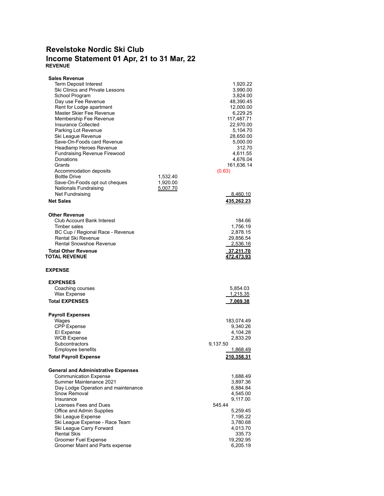## **Revelstoke Nordic Ski Club Income Statement 01 Apr, 21 to 31 Mar, 22 REVENUE**

| <b>Sales Revenue</b>                                           |          |                       |
|----------------------------------------------------------------|----------|-----------------------|
| Term Deposit Interest                                          |          | 1,920.22              |
| Ski Clinics and Private Lessons                                |          | 3,990.00              |
| School Program                                                 |          | 3,824.00              |
| Day use Fee Revenue                                            |          | 48,390.45             |
| Rent for Lodge apartment                                       |          | 12,000.00             |
| Master Skier Fee Revenue                                       |          | 6,229.25              |
| Membership Fee Revenue                                         |          | 117,487.71            |
| Insurance Collected                                            |          | 22,970.00             |
| Parking Lot Revenue                                            |          | 5,104.70              |
| Ski League Revenue                                             |          | 28,650.00             |
| Save-On-Foods card Revenue                                     |          | 5,000.00              |
| Headlamp Heroes Revenue                                        |          | 312.70                |
| <b>Fundraising Revenue Firewood</b>                            |          | 4,611.55              |
| Donations                                                      |          | 4,676.04              |
| Grants                                                         |          | 161,636.14            |
| Accommodation deposits                                         |          | (0.63)                |
| <b>Bottle Drive</b>                                            | 1,532.40 |                       |
| Save-On-Foods opt out cheques                                  | 1,920.00 |                       |
| Nationals Fundraising                                          | 5,007.70 |                       |
| Net Fundraising                                                |          | <u>8.460.10</u>       |
| <b>Net Sales</b>                                               |          | 435,262.23            |
|                                                                |          |                       |
| <b>Other Revenue</b>                                           |          |                       |
| Club Account Bank Interest                                     |          | 184.66                |
| Timber sales                                                   |          | 1,756.19              |
| BC Cup / Regional Race - Revenue                               |          | 2,878.15              |
| Rental Ski Revenue                                             |          | 29,856.54             |
| <b>Rental Snowshoe Revenue</b>                                 |          | 2,536.16              |
| <b>Total Other Revenue</b>                                     |          | 37,211.70             |
| <b>TOTAL REVENUE</b>                                           |          | 472,473.93            |
|                                                                |          |                       |
|                                                                |          |                       |
| <b>EXPENSE</b>                                                 |          |                       |
|                                                                |          |                       |
| <b>EXPENSES</b>                                                |          |                       |
| Coaching courses                                               |          | 5,854.03              |
| Wax Expense                                                    |          | <u>1,215.35</u>       |
| <b>Total EXPENSES</b>                                          |          | 7,069.38              |
|                                                                |          |                       |
| <b>Payroll Expenses</b>                                        |          |                       |
| Wages                                                          |          | 183,074.49            |
| <b>CPP</b> Expense                                             |          | 9,340.26              |
| El Expense                                                     |          | 4,104.28              |
| <b>WCB Expense</b><br>Subcontractors                           |          | 2,833.29              |
|                                                                |          | 9,137.50              |
| Employee benefits                                              |          | 1,868.49              |
| <b>Total Payroll Expense</b>                                   |          | 210,358.31            |
|                                                                |          |                       |
| <b>General and Administrative Expenses</b>                     |          |                       |
| <b>Communication Expense</b><br>Summer Maintenance 2021        |          | 1,688.49<br>3,897.36  |
| Day Lodge Operation and maintenance                            |          | 6,884.84              |
| Snow Removal                                                   |          | 4,545.00              |
| Insurance                                                      |          | 9,117.00              |
| Licenses Fees and Dues                                         |          | 545.44                |
| Office and Admin Supplies                                      |          | 5,259.45              |
| Ski League Expense                                             |          | 7,195.22              |
| Ski League Expense - Race Team                                 |          | 3,780.68              |
| Ski League Carry Forward                                       |          | 4,013.70              |
| <b>Rental Skis</b>                                             |          | 335.73                |
| <b>Groomer Fuel Expense</b><br>Groomer Maint and Parts expense |          | 19,292.95<br>6,205.19 |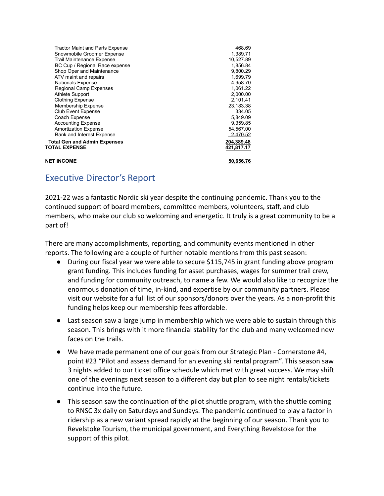| Tractor Maint and Parts Expense<br>Snowmobile Groomer Expense | 468.69<br>1,389.71 |
|---------------------------------------------------------------|--------------------|
| Trail Maintenance Expense                                     | 10.527.89          |
| BC Cup / Regional Race expense                                | 1,856.84           |
| Shop Oper and Maintenance                                     | 9,800.29           |
| ATV maint and repairs                                         | 1,699.79           |
| <b>Nationals Expense</b>                                      | 4,958.70           |
| <b>Regional Camp Expenses</b>                                 | 1,061.22           |
| <b>Athlete Support</b>                                        | 2,000.00           |
| <b>Clothing Expense</b>                                       | 2,101.41           |
| <b>Membership Expense</b>                                     | 23,183.38          |
| <b>Club Event Expense</b>                                     | 334.05             |
| Coach Expense                                                 | 5,849.09           |
| <b>Accounting Expense</b>                                     | 9,359.85           |
| Amortization Expense                                          | 54,567.00          |
| Bank and Interest Expense                                     | 2.470.52           |
| <b>Total Gen and Admin Expenses</b>                           | 204,389.48         |
| TOTAL EXPENSE                                                 | 421,817.17         |
| <b>NET INCOME</b>                                             | 50,656.76          |
|                                                               |                    |

# <span id="page-14-0"></span>Executive Director's Report

2021-22 was a fantastic Nordic ski year despite the continuing pandemic. Thank you to the continued support of board members, committee members, volunteers, staff, and club members, who make our club so welcoming and energetic. It truly is a great community to be a part of!

There are many accomplishments, reporting, and community events mentioned in other reports. The following are a couple of further notable mentions from this past season:

- During our fiscal year we were able to secure \$115,745 in grant funding above program grant funding. This includes funding for asset purchases, wages for summer trail crew, and funding for community outreach, to name a few. We would also like to recognize the enormous donation of time, in-kind, and expertise by our community partners. Please visit our website for a full list of our sponsors/donors over the years. As a non-profit this funding helps keep our membership fees affordable.
- Last season saw a large jump in membership which we were able to sustain through this season. This brings with it more financial stability for the club and many welcomed new faces on the trails.
- We have made permanent one of our goals from our Strategic Plan Cornerstone #4, point #23 "Pilot and assess demand for an evening ski rental program". This season saw 3 nights added to our ticket office schedule which met with great success. We may shift one of the evenings next season to a different day but plan to see night rentals/tickets continue into the future.
- This season saw the continuation of the pilot shuttle program, with the shuttle coming to RNSC 3x daily on Saturdays and Sundays. The pandemic continued to play a factor in ridership as a new variant spread rapidly at the beginning of our season. Thank you to Revelstoke Tourism, the municipal government, and Everything Revelstoke for the support of this pilot.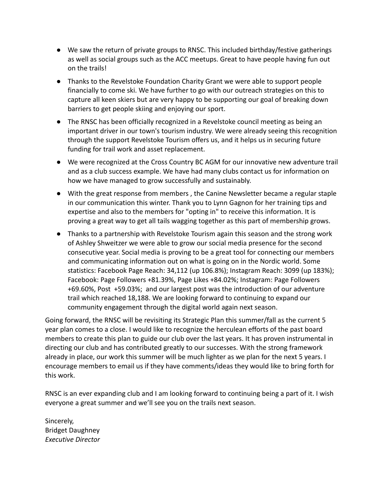- We saw the return of private groups to RNSC. This included birthday/festive gatherings as well as social groups such as the ACC meetups. Great to have people having fun out on the trails!
- Thanks to the Revelstoke Foundation Charity Grant we were able to support people financially to come ski. We have further to go with our outreach strategies on this to capture all keen skiers but are very happy to be supporting our goal of breaking down barriers to get people skiing and enjoying our sport.
- The RNSC has been officially recognized in a Revelstoke council meeting as being an important driver in our town's tourism industry. We were already seeing this recognition through the support Revelstoke Tourism offers us, and it helps us in securing future funding for trail work and asset replacement.
- We were recognized at the Cross Country BC AGM for our innovative new adventure trail and as a club success example. We have had many clubs contact us for information on how we have managed to grow successfully and sustainably.
- With the great response from members , the Canine Newsletter became a regular staple in our communication this winter. Thank you to Lynn Gagnon for her training tips and expertise and also to the members for "opting in" to receive this information. It is proving a great way to get all tails wagging together as this part of membership grows.
- Thanks to a partnership with Revelstoke Tourism again this season and the strong work of Ashley Shweitzer we were able to grow our social media presence for the second consecutive year. Social media is proving to be a great tool for connecting our members and communicating information out on what is going on in the Nordic world. Some statistics: Facebook Page Reach: 34,112 (up 106.8%); Instagram Reach: 3099 (up 183%); Facebook: Page Followers +81.39%, Page Likes +84.02%; Instagram: Page Followers +69.60%, Post +59.03%; and our largest post was the introduction of our adventure trail which reached 18,188. We are looking forward to continuing to expand our community engagement through the digital world again next season.

Going forward, the RNSC will be revisiting its Strategic Plan this summer/fall as the current 5 year plan comes to a close. I would like to recognize the herculean efforts of the past board members to create this plan to guide our club over the last years. It has proven instrumental in directing our club and has contributed greatly to our successes. With the strong framework already in place, our work this summer will be much lighter as we plan for the next 5 years. I encourage members to email us if they have comments/ideas they would like to bring forth for this work.

RNSC is an ever expanding club and I am looking forward to continuing being a part of it. I wish everyone a great summer and we'll see you on the trails next season.

Sincerely, Bridget Daughney *Executive Director*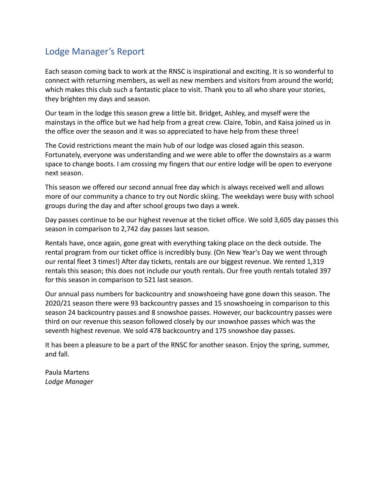# <span id="page-16-0"></span>Lodge Manager's Report

Each season coming back to work at the RNSC is inspirational and exciting. It is so wonderful to connect with returning members, as well as new members and visitors from around the world; which makes this club such a fantastic place to visit. Thank you to all who share your stories, they brighten my days and season.

Our team in the lodge this season grew a little bit. Bridget, Ashley, and myself were the mainstays in the office but we had help from a great crew. Claire, Tobin, and Kaisa joined us in the office over the season and it was so appreciated to have help from these three!

The Covid restrictions meant the main hub of our lodge was closed again this season. Fortunately, everyone was understanding and we were able to offer the downstairs as a warm space to change boots. I am crossing my fingers that our entire lodge will be open to everyone next season.

This season we offered our second annual free day which is always received well and allows more of our community a chance to try out Nordic skiing. The weekdays were busy with school groups during the day and after school groups two days a week.

Day passes continue to be our highest revenue at the ticket office. We sold 3,605 day passes this season in comparison to 2,742 day passes last season.

Rentals have, once again, gone great with everything taking place on the deck outside. The rental program from our ticket office is incredibly busy. (On New Year's Day we went through our rental fleet 3 times!) After day tickets, rentals are our biggest revenue. We rented 1,319 rentals this season; this does not include our youth rentals. Our free youth rentals totaled 397 for this season in comparison to 521 last season.

Our annual pass numbers for backcountry and snowshoeing have gone down this season. The 2020/21 season there were 93 backcountry passes and 15 snowshoeing in comparison to this season 24 backcountry passes and 8 snowshoe passes. However, our backcountry passes were third on our revenue this season followed closely by our snowshoe passes which was the seventh highest revenue. We sold 478 backcountry and 175 snowshoe day passes.

It has been a pleasure to be a part of the RNSC for another season. Enjoy the spring, summer, and fall.

Paula Martens *Lodge Manager*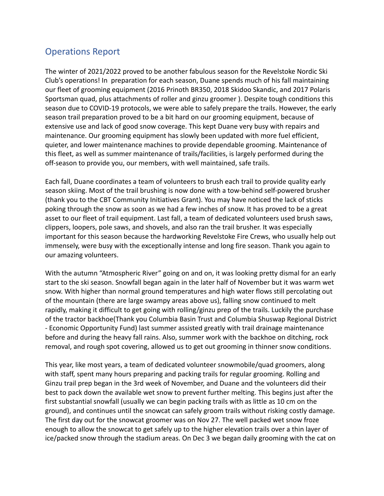# <span id="page-17-0"></span>Operations Report

The winter of 2021/2022 proved to be another fabulous season for the Revelstoke Nordic Ski Club's operations! In preparation for each season, Duane spends much of his fall maintaining our fleet of grooming equipment (2016 Prinoth BR350, 2018 Skidoo Skandic, and 2017 Polaris Sportsman quad, plus attachments of roller and ginzu groomer ). Despite tough conditions this season due to COVID-19 protocols, we were able to safely prepare the trails. However, the early season trail preparation proved to be a bit hard on our grooming equipment, because of extensive use and lack of good snow coverage. This kept Duane very busy with repairs and maintenance. Our grooming equipment has slowly been updated with more fuel efficient, quieter, and lower maintenance machines to provide dependable grooming. Maintenance of this fleet, as well as summer maintenance of trails/facilities, is largely performed during the off-season to provide you, our members, with well maintained, safe trails.

Each fall, Duane coordinates a team of volunteers to brush each trail to provide quality early season skiing. Most of the trail brushing is now done with a tow-behind self-powered brusher (thank you to the CBT Community Initiatives Grant). You may have noticed the lack of sticks poking through the snow as soon as we had a few inches of snow. It has proved to be a great asset to our fleet of trail equipment. Last fall, a team of dedicated volunteers used brush saws, clippers, loopers, pole saws, and shovels, and also ran the trail brusher. It was especially important for this season because the hardworking Revelstoke Fire Crews, who usually help out immensely, were busy with the exceptionally intense and long fire season. Thank you again to our amazing volunteers.

With the autumn "Atmospheric River" going on and on, it was looking pretty dismal for an early start to the ski season. Snowfall began again in the later half of November but it was warm wet snow. With higher than normal ground temperatures and high water flows still percolating out of the mountain (there are large swampy areas above us), falling snow continued to melt rapidly, making it difficult to get going with rolling/ginzu prep of the trails. Luckily the purchase of the tractor backhoe(Thank you Columbia Basin Trust and Columbia Shuswap Regional District - Economic Opportunity Fund) last summer assisted greatly with trail drainage maintenance before and during the heavy fall rains. Also, summer work with the backhoe on ditching, rock removal, and rough spot covering, allowed us to get out grooming in thinner snow conditions.

This year, like most years, a team of dedicated volunteer snowmobile/quad groomers, along with staff, spent many hours preparing and packing trails for regular grooming. Rolling and Ginzu trail prep began in the 3rd week of November, and Duane and the volunteers did their best to pack down the available wet snow to prevent further melting. This begins just after the first substantial snowfall (usually we can begin packing trails with as little as 10 cm on the ground), and continues until the snowcat can safely groom trails without risking costly damage. The first day out for the snowcat groomer was on Nov 27. The well packed wet snow froze enough to allow the snowcat to get safely up to the higher elevation trails over a thin layer of ice/packed snow through the stadium areas. On Dec 3 we began daily grooming with the cat on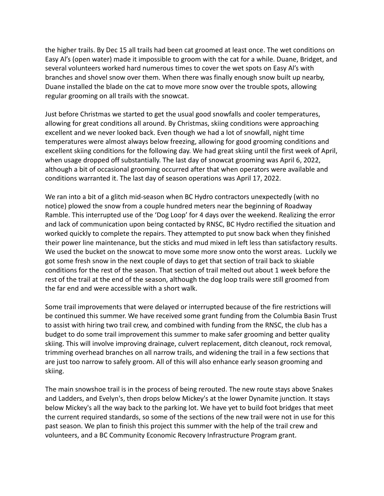the higher trails. By Dec 15 all trails had been cat groomed at least once. The wet conditions on Easy Al's (open water) made it impossible to groom with the cat for a while. Duane, Bridget, and several volunteers worked hard numerous times to cover the wet spots on Easy Al's with branches and shovel snow over them. When there was finally enough snow built up nearby, Duane installed the blade on the cat to move more snow over the trouble spots, allowing regular grooming on all trails with the snowcat.

Just before Christmas we started to get the usual good snowfalls and cooler temperatures, allowing for great conditions all around. By Christmas, skiing conditions were approaching excellent and we never looked back. Even though we had a lot of snowfall, night time temperatures were almost always below freezing, allowing for good grooming conditions and excellent skiing conditions for the following day. We had great skiing until the first week of April, when usage dropped off substantially. The last day of snowcat grooming was April 6, 2022, although a bit of occasional grooming occurred after that when operators were available and conditions warranted it. The last day of season operations was April 17, 2022.

We ran into a bit of a glitch mid-season when BC Hydro contractors unexpectedly (with no notice) plowed the snow from a couple hundred meters near the beginning of Roadway Ramble. This interrupted use of the 'Dog Loop' for 4 days over the weekend. Realizing the error and lack of communication upon being contacted by RNSC, BC Hydro rectified the situation and worked quickly to complete the repairs. They attempted to put snow back when they finished their power line maintenance, but the sticks and mud mixed in left less than satisfactory results. We used the bucket on the snowcat to move some more snow onto the worst areas. Luckily we got some fresh snow in the next couple of days to get that section of trail back to skiable conditions for the rest of the season. That section of trail melted out about 1 week before the rest of the trail at the end of the season, although the dog loop trails were still groomed from the far end and were accessible with a short walk.

Some trail improvements that were delayed or interrupted because of the fire restrictions will be continued this summer. We have received some grant funding from the Columbia Basin Trust to assist with hiring two trail crew, and combined with funding from the RNSC, the club has a budget to do some trail improvement this summer to make safer grooming and better quality skiing. This will involve improving drainage, culvert replacement, ditch cleanout, rock removal, trimming overhead branches on all narrow trails, and widening the trail in a few sections that are just too narrow to safely groom. All of this will also enhance early season grooming and skiing.

The main snowshoe trail is in the process of being rerouted. The new route stays above Snakes and Ladders, and Evelyn's, then drops below Mickey's at the lower Dynamite junction. It stays below Mickey's all the way back to the parking lot. We have yet to build foot bridges that meet the current required standards, so some of the sections of the new trail were not in use for this past season. We plan to finish this project this summer with the help of the trail crew and volunteers, and a BC Community Economic Recovery Infrastructure Program grant.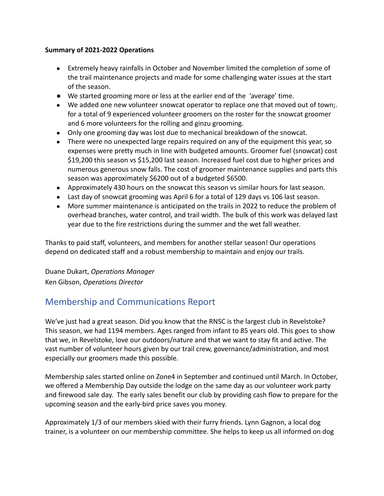### **Summary of 2021-2022 Operations**

- Extremely heavy rainfalls in October and November limited the completion of some of the trail maintenance projects and made for some challenging water issues at the start of the season.
- We started grooming more or less at the earlier end of the 'average' time.
- We added one new volunteer snowcat operator to replace one that moved out of town;. for a total of 9 experienced volunteer groomers on the roster for the snowcat groomer and 6 more volunteers for the rolling and ginzu grooming.
- Only one grooming day was lost due to mechanical breakdown of the snowcat.
- There were no unexpected large repairs required on any of the equipment this year, so expenses were pretty much in line with budgeted amounts. Groomer fuel (snowcat) cost \$19,200 this season vs \$15,200 last season. Increased fuel cost due to higher prices and numerous generous snow falls. The cost of groomer maintenance supplies and parts this season was approximately \$6200 out of a budgeted \$6500.
- Approximately 430 hours on the snowcat this season vs similar hours for last season.
- Last day of snowcat grooming was April 6 for a total of 129 days vs 106 last season.
- More summer maintenance is anticipated on the trails in 2022 to reduce the problem of overhead branches, water control, and trail width. The bulk of this work was delayed last year due to the fire restrictions during the summer and the wet fall weather.

Thanks to paid staff, volunteers, and members for another stellar season! Our operations depend on dedicated staff and a robust membership to maintain and enjoy our trails.

Duane Dukart, *Operations Manager* Ken Gibson, *Operations Director*

# <span id="page-19-0"></span>Membership and Communications Report

We've just had a great season. Did you know that the RNSC is the largest club in Revelstoke? This season, we had 1194 members. Ages ranged from infant to 85 years old. This goes to show that we, in Revelstoke, love our outdoors/nature and that we want to stay fit and active. The vast number of volunteer hours given by our trail crew, governance/administration, and most especially our groomers made this possible.

Membership sales started online on Zone4 in September and continued until March. In October, we offered a Membership Day outside the lodge on the same day as our volunteer work party and firewood sale day. The early sales benefit our club by providing cash flow to prepare for the upcoming season and the early-bird price saves you money.

Approximately 1/3 of our members skied with their furry friends. Lynn Gagnon, a local dog trainer, is a volunteer on our membership committee. She helps to keep us all informed on dog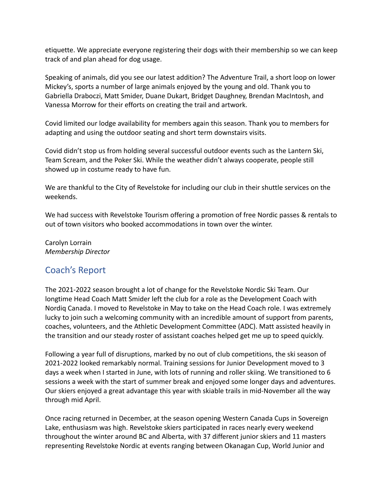etiquette. We appreciate everyone registering their dogs with their membership so we can keep track of and plan ahead for dog usage.

Speaking of animals, did you see our latest addition? The Adventure Trail, a short loop on lower Mickey's, sports a number of large animals enjoyed by the young and old. Thank you to Gabriella Draboczi, Matt Smider, Duane Dukart, Bridget Daughney, Brendan MacIntosh, and Vanessa Morrow for their efforts on creating the trail and artwork.

Covid limited our lodge availability for members again this season. Thank you to members for adapting and using the outdoor seating and short term downstairs visits.

Covid didn't stop us from holding several successful outdoor events such as the Lantern Ski, Team Scream, and the Poker Ski. While the weather didn't always cooperate, people still showed up in costume ready to have fun.

We are thankful to the City of Revelstoke for including our club in their shuttle services on the weekends.

We had success with Revelstoke Tourism offering a promotion of free Nordic passes & rentals to out of town visitors who booked accommodations in town over the winter.

Carolyn Lorrain *Membership Director*

# <span id="page-20-0"></span>Coach's Report

The 2021-2022 season brought a lot of change for the Revelstoke Nordic Ski Team. Our longtime Head Coach Matt Smider left the club for a role as the Development Coach with Nordiq Canada. I moved to Revelstoke in May to take on the Head Coach role. I was extremely lucky to join such a welcoming community with an incredible amount of support from parents, coaches, volunteers, and the Athletic Development Committee (ADC). Matt assisted heavily in the transition and our steady roster of assistant coaches helped get me up to speed quickly.

Following a year full of disruptions, marked by no out of club competitions, the ski season of 2021-2022 looked remarkably normal. Training sessions for Junior Development moved to 3 days a week when I started in June, with lots of running and roller skiing. We transitioned to 6 sessions a week with the start of summer break and enjoyed some longer days and adventures. Our skiers enjoyed a great advantage this year with skiable trails in mid-November all the way through mid April.

Once racing returned in December, at the season opening Western Canada Cups in Sovereign Lake, enthusiasm was high. Revelstoke skiers participated in races nearly every weekend throughout the winter around BC and Alberta, with 37 different junior skiers and 11 masters representing Revelstoke Nordic at events ranging between Okanagan Cup, World Junior and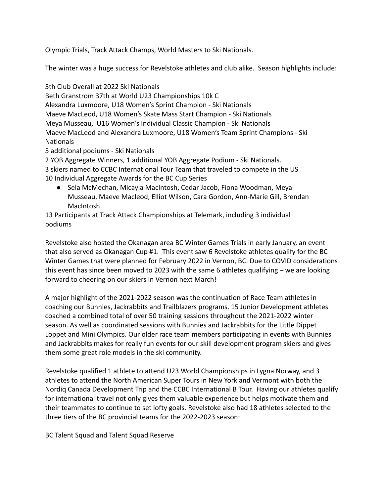Olympic Trials, Track Attack Champs, World Masters to Ski Nationals.

The winter was a huge success for Revelstoke athletes and club alike. Season highlights include:

5th Club Overall at 2022 Ski Nationals

Beth Granstrom 37th at World U23 Championships 10k C Alexandra Luxmoore, U18 Women's Sprint Champion - Ski Nationals Maeve MacLeod, U18 Women's Skate Mass Start Champion - Ski Nationals Meya Musseau, U16 Women's Individual Classic Champion - Ski Nationals Maeve MacLeod and Alexandra Luxmoore, U18 Women's Team Sprint Champions - Ski Nationals

5 additional podiums - Ski Nationals

2 YOB Aggregate Winners, 1 additional YOB Aggregate Podium - Ski Nationals. 3 skiers named to CCBC International Tour Team that traveled to compete in the US 10 Individual Aggregate Awards for the BC Cup Series

● Sela McMechan, Micayla MacIntosh, Cedar Jacob, Fiona Woodman, Meya Musseau, Maeve Macleod, Elliot Wilson, Cara Gordon, Ann-Marie Gill, Brendan MacIntosh

13 Participants at Track Attack Championships at Telemark, including 3 individual podiums

Revelstoke also hosted the Okanagan area BC Winter Games Trials in early January, an event that also served as Okanagan Cup #1. This event saw 6 Revelstoke athletes qualify for the BC Winter Games that were planned for February 2022 in Vernon, BC. Due to COVID considerations this event has since been moved to 2023 with the same 6 athletes qualifying – we are looking forward to cheering on our skiers in Vernon next March!

A major highlight of the 2021-2022 season was the continuation of Race Team athletes in coaching our Bunnies, Jackrabbits and Trailblazers programs. 15 Junior Development athletes coached a combined total of over 50 training sessions throughout the 2021-2022 winter season. As well as coordinated sessions with Bunnies and Jackrabbits for the Little Dippet Loppet and Mini Olympics. Our older race team members participating in events with Bunnies and Jackrabbits makes for really fun events for our skill development program skiers and gives them some great role models in the ski community.

Revelstoke qualified 1 athlete to attend U23 World Championships in Lygna Norway, and 3 athletes to attend the North American Super Tours in New York and Vermont with both the Nordiq Canada Development Trip and the CCBC International B Tour. Having our athletes qualify for international travel not only gives them valuable experience but helps motivate them and their teammates to continue to set lofty goals. Revelstoke also had 18 athletes selected to the three tiers of the BC provincial teams for the 2022-2023 season:

BC Talent Squad and Talent Squad Reserve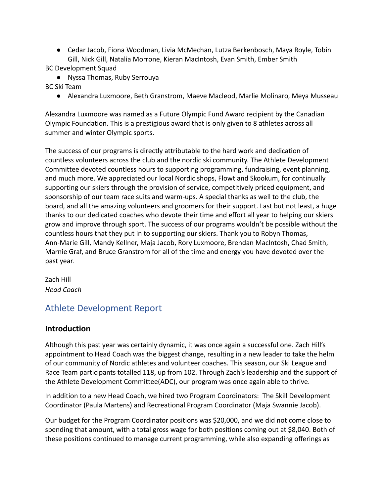● Cedar Jacob, Fiona Woodman, Livia McMechan, Lutza Berkenbosch, Maya Royle, Tobin Gill, Nick Gill, Natalia Morrone, Kieran MacIntosh, Evan Smith, Ember Smith

BC Development Squad

- Nyssa Thomas, Ruby Serrouya
- BC Ski Team
	- Alexandra Luxmoore, Beth Granstrom, Maeve Macleod, Marlie Molinaro, Meya Musseau

Alexandra Luxmoore was named as a Future Olympic Fund Award recipient by the Canadian Olympic Foundation. This is a prestigious award that is only given to 8 athletes across all summer and winter Olympic sports.

The success of our programs is directly attributable to the hard work and dedication of countless volunteers across the club and the nordic ski community. The Athlete Development Committee devoted countless hours to supporting programming, fundraising, event planning, and much more. We appreciated our local Nordic shops, Flowt and Skookum, for continually supporting our skiers through the provision of service, competitively priced equipment, and sponsorship of our team race suits and warm-ups. A special thanks as well to the club, the board, and all the amazing volunteers and groomers for their support. Last but not least, a huge thanks to our dedicated coaches who devote their time and effort all year to helping our skiers grow and improve through sport. The success of our programs wouldn't be possible without the countless hours that they put in to supporting our skiers. Thank you to Robyn Thomas, Ann-Marie Gill, Mandy Kellner, Maja Jacob, Rory Luxmoore, Brendan MacIntosh, Chad Smith, Marnie Graf, and Bruce Granstrom for all of the time and energy you have devoted over the past year.

Zach Hill *Head Coach*

# <span id="page-22-0"></span>Athlete Development Report

## **Introduction**

Although this past year was certainly dynamic, it was once again a successful one. Zach Hill's appointment to Head Coach was the biggest change, resulting in a new leader to take the helm of our community of Nordic athletes and volunteer coaches. This season, our Ski League and Race Team participants totalled 118, up from 102. Through Zach's leadership and the support of the Athlete Development Committee(ADC), our program was once again able to thrive.

In addition to a new Head Coach, we hired two Program Coordinators: The Skill Development Coordinator (Paula Martens) and Recreational Program Coordinator (Maja Swannie Jacob).

Our budget for the Program Coordinator positions was \$20,000, and we did not come close to spending that amount, with a total gross wage for both positions coming out at \$8,040. Both of these positions continued to manage current programming, while also expanding offerings as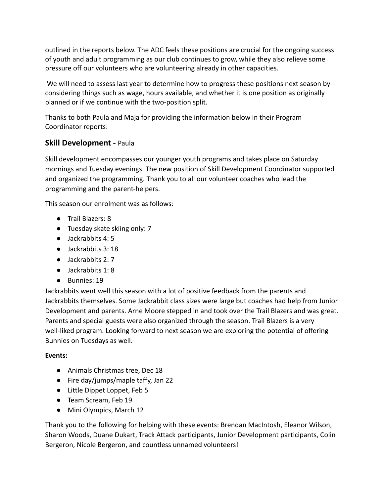outlined in the reports below. The ADC feels these positions are crucial for the ongoing success of youth and adult programming as our club continues to grow, while they also relieve some pressure off our volunteers who are volunteering already in other capacities.

We will need to assess last year to determine how to progress these positions next season by considering things such as wage, hours available, and whether it is one position as originally planned or if we continue with the two-position split.

Thanks to both Paula and Maja for providing the information below in their Program Coordinator reports:

# **Skill Development -** Paula

Skill development encompasses our younger youth programs and takes place on Saturday mornings and Tuesday evenings. The new position of Skill Development Coordinator supported and organized the programming. Thank you to all our volunteer coaches who lead the programming and the parent-helpers.

This season our enrolment was as follows:

- Trail Blazers: 8
- Tuesday skate skiing only: 7
- Jackrabbits 4:5
- Jackrabbits 3: 18
- Jackrabbits 2: 7
- Jackrabbits 1: 8
- Bunnies: 19

Jackrabbits went well this season with a lot of positive feedback from the parents and Jackrabbits themselves. Some Jackrabbit class sizes were large but coaches had help from Junior Development and parents. Arne Moore stepped in and took over the Trail Blazers and was great. Parents and special guests were also organized through the season. Trail Blazers is a very well-liked program. Looking forward to next season we are exploring the potential of offering Bunnies on Tuesdays as well.

#### **Events:**

- Animals Christmas tree, Dec 18
- Fire day/jumps/maple taffy, Jan 22
- Little Dippet Loppet, Feb 5
- Team Scream, Feb 19
- Mini Olympics, March 12

Thank you to the following for helping with these events: Brendan MacIntosh, Eleanor Wilson, Sharon Woods, Duane Dukart, Track Attack participants, Junior Development participants, Colin Bergeron, Nicole Bergeron, and countless unnamed volunteers!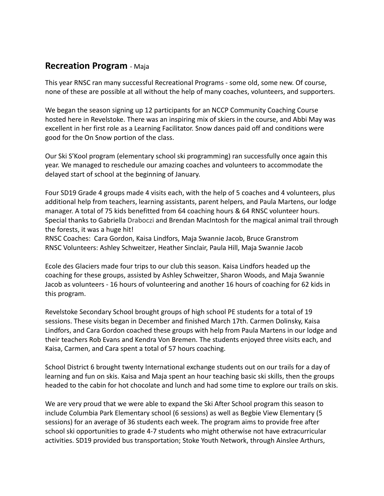# **Recreation Program** - Maja

This year RNSC ran many successful Recreational Programs - some old, some new. Of course, none of these are possible at all without the help of many coaches, volunteers, and supporters.

We began the season signing up 12 participants for an NCCP Community Coaching Course hosted here in Revelstoke. There was an inspiring mix of skiers in the course, and Abbi May was excellent in her first role as a Learning Facilitator. Snow dances paid off and conditions were good for the On Snow portion of the class.

Our Ski S'Kool program (elementary school ski programming) ran successfully once again this year. We managed to reschedule our amazing coaches and volunteers to accommodate the delayed start of school at the beginning of January.

Four SD19 Grade 4 groups made 4 visits each, with the help of 5 coaches and 4 volunteers, plus additional help from teachers, learning assistants, parent helpers, and Paula Martens, our lodge manager. A total of 75 kids benefitted from 64 coaching hours & 64 RNSC volunteer hours. Special thanks to Gabriella Draboczi and Brendan MacIntosh for the magical animal trail through the forests, it was a huge hit!

RNSC Coaches: Cara Gordon, Kaisa Lindfors, Maja Swannie Jacob, Bruce Granstrom RNSC Volunteers: Ashley Schweitzer, Heather Sinclair, Paula Hill, Maja Swannie Jacob

Ecole des Glaciers made four trips to our club this season. Kaisa Lindfors headed up the coaching for these groups, assisted by Ashley Schweitzer, Sharon Woods, and Maja Swannie Jacob as volunteers - 16 hours of volunteering and another 16 hours of coaching for 62 kids in this program.

Revelstoke Secondary School brought groups of high school PE students for a total of 19 sessions. These visits began in December and finished March 17th. Carmen Dolinsky, Kaisa Lindfors, and Cara Gordon coached these groups with help from Paula Martens in our lodge and their teachers Rob Evans and Kendra Von Bremen. The students enjoyed three visits each, and Kaisa, Carmen, and Cara spent a total of 57 hours coaching.

School District 6 brought twenty International exchange students out on our trails for a day of learning and fun on skis. Kaisa and Maja spent an hour teaching basic ski skills, then the groups headed to the cabin for hot chocolate and lunch and had some time to explore our trails on skis.

We are very proud that we were able to expand the Ski After School program this season to include Columbia Park Elementary school (6 sessions) as well as Begbie View Elementary (5 sessions) for an average of 36 students each week. The program aims to provide free after school ski opportunities to grade 4-7 students who might otherwise not have extracurricular activities. SD19 provided bus transportation; Stoke Youth Network, through Ainslee Arthurs,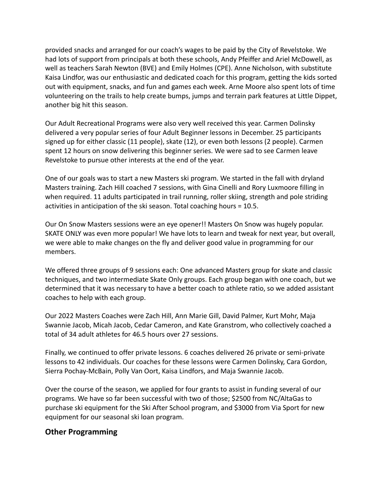provided snacks and arranged for our coach's wages to be paid by the City of Revelstoke. We had lots of support from principals at both these schools, Andy Pfeiffer and Ariel McDowell, as well as teachers Sarah Newton (BVE) and Emily Holmes (CPE). Anne Nicholson, with substitute Kaisa Lindfor, was our enthusiastic and dedicated coach for this program, getting the kids sorted out with equipment, snacks, and fun and games each week. Arne Moore also spent lots of time volunteering on the trails to help create bumps, jumps and terrain park features at Little Dippet, another big hit this season.

Our Adult Recreational Programs were also very well received this year. Carmen Dolinsky delivered a very popular series of four Adult Beginner lessons in December. 25 participants signed up for either classic (11 people), skate (12), or even both lessons (2 people). Carmen spent 12 hours on snow delivering this beginner series. We were sad to see Carmen leave Revelstoke to pursue other interests at the end of the year.

One of our goals was to start a new Masters ski program. We started in the fall with dryland Masters training. Zach Hill coached 7 sessions, with Gina Cinelli and Rory Luxmoore filling in when required. 11 adults participated in trail running, roller skiing, strength and pole striding activities in anticipation of the ski season. Total coaching hours = 10.5.

Our On Snow Masters sessions were an eye opener!! Masters On Snow was hugely popular. SKATE ONLY was even more popular! We have lots to learn and tweak for next year, but overall, we were able to make changes on the fly and deliver good value in programming for our members.

We offered three groups of 9 sessions each: One advanced Masters group for skate and classic techniques, and two intermediate Skate Only groups. Each group began with one coach, but we determined that it was necessary to have a better coach to athlete ratio, so we added assistant coaches to help with each group.

Our 2022 Masters Coaches were Zach Hill, Ann Marie Gill, David Palmer, Kurt Mohr, Maja Swannie Jacob, Micah Jacob, Cedar Cameron, and Kate Granstrom, who collectively coached a total of 34 adult athletes for 46.5 hours over 27 sessions.

Finally, we continued to offer private lessons. 6 coaches delivered 26 private or semi-private lessons to 42 individuals. Our coaches for these lessons were Carmen Dolinsky, Cara Gordon, Sierra Pochay-McBain, Polly Van Oort, Kaisa Lindfors, and Maja Swannie Jacob.

Over the course of the season, we applied for four grants to assist in funding several of our programs. We have so far been successful with two of those; \$2500 from NC/AltaGas to purchase ski equipment for the Ski After School program, and \$3000 from Via Sport for new equipment for our seasonal ski loan program.

## **Other Programming**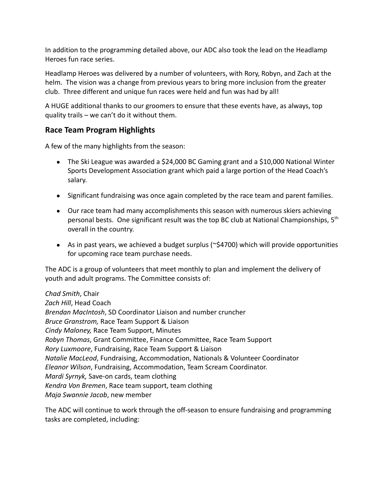In addition to the programming detailed above, our ADC also took the lead on the Headlamp Heroes fun race series.

Headlamp Heroes was delivered by a number of volunteers, with Rory, Robyn, and Zach at the helm. The vision was a change from previous years to bring more inclusion from the greater club. Three different and unique fun races were held and fun was had by all!

A HUGE additional thanks to our groomers to ensure that these events have, as always, top quality trails – we can't do it without them.

# **Race Team Program Highlights**

A few of the many highlights from the season:

- The Ski League was awarded a \$24,000 BC Gaming grant and a \$10,000 National Winter Sports Development Association grant which paid a large portion of the Head Coach's salary.
- Significant fundraising was once again completed by the race team and parent families.
- Our race team had many accomplishments this season with numerous skiers achieving personal bests. One significant result was the top BC club at National Championships, 5<sup>th</sup> overall in the country.
- As in past years, we achieved a budget surplus (~\$4700) which will provide opportunities for upcoming race team purchase needs.

The ADC is a group of volunteers that meet monthly to plan and implement the delivery of youth and adult programs. The Committee consists of:

*Chad Smith*, Chair *Zach Hill*, Head Coach *Brendan MacIntosh*, SD Coordinator Liaison and number cruncher *Bruce Granstrom,* Race Team Support & Liaison *Cindy Maloney,* Race Team Support, Minutes *Robyn Thomas*, Grant Committee, Finance Committee, Race Team Support *Rory Luxmoore*, Fundraising, Race Team Support & Liaison *Natalie MacLeod*, Fundraising, Accommodation, Nationals & Volunteer Coordinator *Eleanor Wilson*, Fundraising, Accommodation, Team Scream Coordinator. *Mardi Syrnyk,* Save-on cards, team clothing *Kendra Von Bremen*, Race team support, team clothing *Maja Swannie Jacob*, new member

The ADC will continue to work through the off-season to ensure fundraising and programming tasks are completed, including: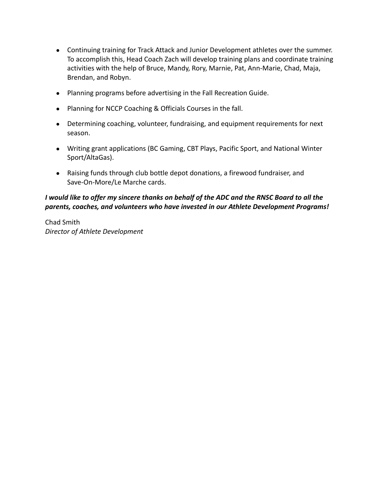- Continuing training for Track Attack and Junior Development athletes over the summer. To accomplish this, Head Coach Zach will develop training plans and coordinate training activities with the help of Bruce, Mandy, Rory, Marnie, Pat, Ann-Marie, Chad, Maja, Brendan, and Robyn.
- Planning programs before advertising in the Fall Recreation Guide.
- Planning for NCCP Coaching & Officials Courses in the fall.
- Determining coaching, volunteer, fundraising, and equipment requirements for next season.
- Writing grant applications (BC Gaming, CBT Plays, Pacific Sport, and National Winter Sport/AltaGas).
- Raising funds through club bottle depot donations, a firewood fundraiser, and Save-On-More/Le Marche cards.

## *I would like to offer my sincere thanks on behalf of the ADC and the RNSC Board to all the parents, coaches, and volunteers who have invested in our Athlete Development Programs!*

Chad Smith *Director of Athlete Development*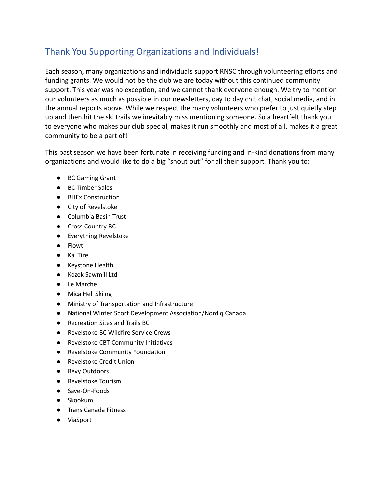# <span id="page-28-0"></span>Thank You Supporting Organizations and Individuals!

Each season, many organizations and individuals support RNSC through volunteering efforts and funding grants. We would not be the club we are today without this continued community support. This year was no exception, and we cannot thank everyone enough. We try to mention our volunteers as much as possible in our newsletters, day to day chit chat, social media, and in the annual reports above. While we respect the many volunteers who prefer to just quietly step up and then hit the ski trails we inevitably miss mentioning someone. So a heartfelt thank you to everyone who makes our club special, makes it run smoothly and most of all, makes it a great community to be a part of!

This past season we have been fortunate in receiving funding and in-kind donations from many organizations and would like to do a big "shout out" for all their support. Thank you to:

- BC Gaming Grant
- BC Timber Sales
- BHEx Construction
- City of Revelstoke
- Columbia Basin Trust
- Cross Country BC
- Everything Revelstoke
- Flowt
- Kal Tire
- Keystone Health
- Kozek Sawmill Ltd
- Le Marche
- Mica Heli Skiing
- Ministry of Transportation and Infrastructure
- National Winter Sport Development Association/Nordiq Canada
- Recreation Sites and Trails BC
- Revelstoke BC Wildfire Service Crews
- Revelstoke CBT Community Initiatives
- Revelstoke Community Foundation
- Revelstoke Credit Union
- Revy Outdoors
- Revelstoke Tourism
- Save-On-Foods
- Skookum
- Trans Canada Fitness
- ViaSport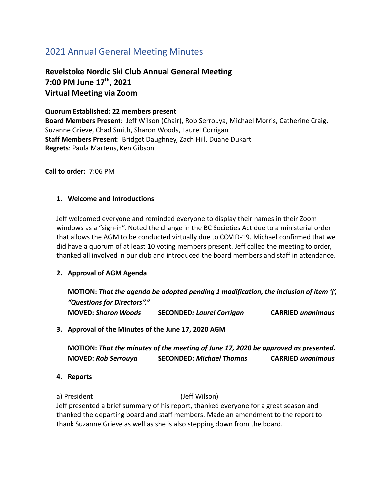# <span id="page-29-0"></span>2021 Annual General Meeting Minutes

**Revelstoke Nordic Ski Club Annual General Meeting 7:00 PM June 17 th , 2021 Virtual Meeting via Zoom**

**Quorum Established: 22 members present Board Members Present**: Jeff Wilson (Chair), Rob Serrouya, Michael Morris, Catherine Craig, Suzanne Grieve, Chad Smith, Sharon Woods, Laurel Corrigan **Staff Members Present**: Bridget Daughney, Zach Hill, Duane Dukart **Regrets**: Paula Martens, Ken Gibson

**Call to order:** 7:06 PM

#### **1. Welcome and Introductions**

Jeff welcomed everyone and reminded everyone to display their names in their Zoom windows as a "sign-in". Noted the change in the BC Societies Act due to a ministerial order that allows the AGM to be conducted virtually due to COVID-19. Michael confirmed that we did have a quorum of at least 10 voting members present. Jeff called the meeting to order, thanked all involved in our club and introduced the board members and staff in attendance.

#### **2. Approval of AGM Agenda**

**MOTION:** *That the agenda be adopted pending 1 modification, the inclusion of item 'j', "Questions for Directors"."* **MOVED:** *Sharon Woods* **SECONDED***: Laurel Corrigan* **CARRIED** *unanimous*

#### **3. Approval of the Minutes of the June 17, 2020 AGM**

**MOTION:** *That the minutes of the meeting of June 17, 2020 be approved as presented.* **MOVED:** *Rob Serrouya* **SECONDED:** *Michael Thomas* **CARRIED** *unanimous*

**4. Reports**

a) President (Jeff Wilson) Jeff presented a brief summary of his report, thanked everyone for a great season and thanked the departing board and staff members. Made an amendment to the report to thank Suzanne Grieve as well as she is also stepping down from the board.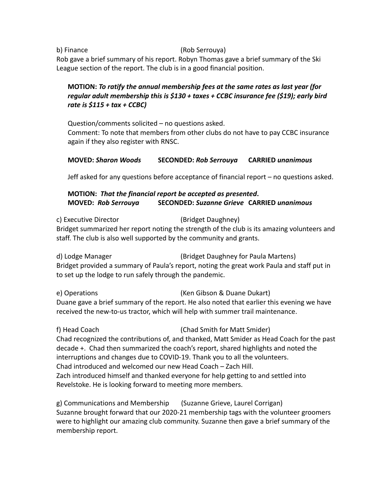b) Finance (Rob Serrouya)

Rob gave a brief summary of his report. Robyn Thomas gave a brief summary of the Ski League section of the report. The club is in a good financial position.

## **MOTION:** *To ratify the annual membership fees at the same rates as last year (for regular adult membership this is \$130 + taxes + CCBC insurance fee (\$19); early bird rate is \$115 + tax + CCBC)*

Question/comments solicited – no questions asked. Comment: To note that members from other clubs do not have to pay CCBC insurance again if they also register with RNSC.

## **MOVED:** *Sharon Woods* **SECONDED:** *Rob Serrouya* **CARRIED** *unanimous*

Jeff asked for any questions before acceptance of financial report – no questions asked.

## **MOTION:** *That the financial report be accepted as presented***. MOVED:** *Rob Serrouya* **SECONDED:** *Suzanne Grieve* **CARRIED** *unanimous*

c) Executive Director (Bridget Daughney) Bridget summarized her report noting the strength of the club is its amazing volunteers and staff. The club is also well supported by the community and grants.

d) Lodge Manager (Bridget Daughney for Paula Martens) Bridget provided a summary of Paula's report, noting the great work Paula and staff put in to set up the lodge to run safely through the pandemic.

e) Operations (Ken Gibson & Duane Dukart) Duane gave a brief summary of the report. He also noted that earlier this evening we have received the new-to-us tractor, which will help with summer trail maintenance.

f) Head Coach (Chad Smith for Matt Smider) Chad recognized the contributions of, and thanked, Matt Smider as Head Coach for the past decade +. Chad then summarized the coach's report, shared highlights and noted the interruptions and changes due to COVID-19. Thank you to all the volunteers. Chad introduced and welcomed our new Head Coach – Zach Hill. Zach introduced himself and thanked everyone for help getting to and settled into Revelstoke. He is looking forward to meeting more members.

g) Communications and Membership (Suzanne Grieve, Laurel Corrigan) Suzanne brought forward that our 2020-21 membership tags with the volunteer groomers were to highlight our amazing club community. Suzanne then gave a brief summary of the membership report.